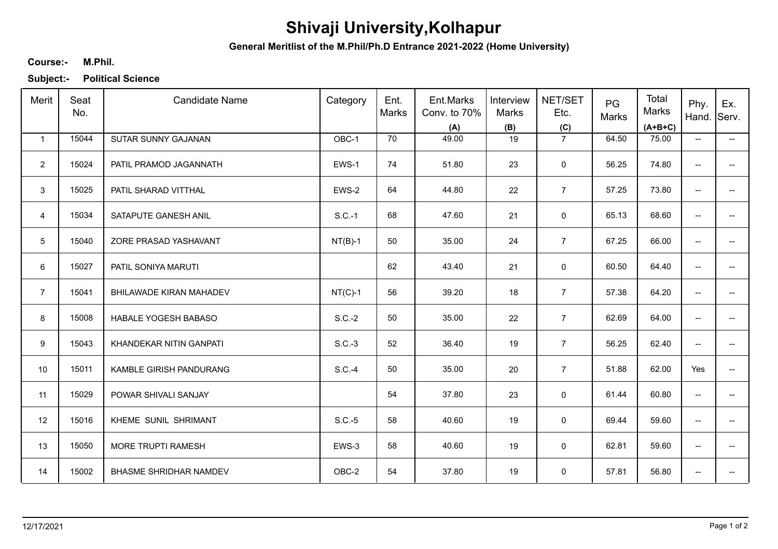## **Shivaji University,Kolhapur**

**General Meritlist of the M.Phil/Ph.D Entrance 2021-2022 (Home University)**

## **M.Phil. Course:-**

**Subject:- Political Science**

| Merit          | Seat<br>No. | <b>Candidate Name</b>         | Category  | Ent.<br>Marks | Ent.Marks<br>Conv. to 70%<br>(A) | Interview<br>Marks<br>(B) | NET/SET<br>Etc.<br>(C) | PG<br>Marks | Total<br>Marks<br>$(A+B+C)$ | Phy.<br>Hand. Serv.      | Ex.                      |
|----------------|-------------|-------------------------------|-----------|---------------|----------------------------------|---------------------------|------------------------|-------------|-----------------------------|--------------------------|--------------------------|
| $\mathbf{1}$   | 15044       | SUTAR SUNNY GAJANAN           | OBC-1     | 70            | 49.00                            | 19                        | $\overline{7}$         | 64.50       | 75.00                       | $\overline{\phantom{a}}$ | $\overline{\phantom{a}}$ |
| $\overline{2}$ | 15024       | PATIL PRAMOD JAGANNATH        | EWS-1     | 74            | 51.80                            | 23                        | 0                      | 56.25       | 74.80                       | $\overline{\phantom{a}}$ | --                       |
| 3              | 15025       | PATIL SHARAD VITTHAL          | EWS-2     | 64            | 44.80                            | 22                        | $\overline{7}$         | 57.25       | 73.80                       | $\overline{\phantom{a}}$ | $- -$                    |
| $\overline{4}$ | 15034       | SATAPUTE GANESH ANIL          | $S.C.-1$  | 68            | 47.60                            | 21                        | $\mathbf 0$            | 65.13       | 68.60                       | $\overline{\phantom{a}}$ | $\overline{a}$           |
| 5              | 15040       | ZORE PRASAD YASHAVANT         | $NT(B)-1$ | 50            | 35.00                            | 24                        | $\overline{7}$         | 67.25       | 66.00                       | $\overline{\phantom{a}}$ | --                       |
| 6              | 15027       | PATIL SONIYA MARUTI           |           | 62            | 43.40                            | 21                        | 0                      | 60.50       | 64.40                       | $\overline{\phantom{a}}$ | --                       |
| $\overline{7}$ | 15041       | BHILAWADE KIRAN MAHADEV       | $NT(C)-1$ | 56            | 39.20                            | 18                        | $\overline{7}$         | 57.38       | 64.20                       | $\overline{\phantom{a}}$ | --                       |
| 8              | 15008       | HABALE YOGESH BABASO          | $S.C.-2$  | 50            | 35.00                            | 22                        | $\overline{7}$         | 62.69       | 64.00                       | $\overline{\phantom{a}}$ | -−                       |
| 9              | 15043       | KHANDEKAR NITIN GANPATI       | $S.C.-3$  | 52            | 36.40                            | 19                        | $\overline{7}$         | 56.25       | 62.40                       | $\overline{\phantom{a}}$ | --                       |
| 10             | 15011       | KAMBLE GIRISH PANDURANG       | $S.C.-4$  | 50            | 35.00                            | 20                        | $\overline{7}$         | 51.88       | 62.00                       | Yes                      | -−                       |
| 11             | 15029       | POWAR SHIVALI SANJAY          |           | 54            | 37.80                            | 23                        | $\mathbf 0$            | 61.44       | 60.80                       | $\overline{\phantom{a}}$ | ÷                        |
| 12             | 15016       | KHEME SUNIL SHRIMANT          | $S.C.-5$  | 58            | 40.60                            | 19                        | 0                      | 69.44       | 59.60                       | $\overline{a}$           | --                       |
| 13             | 15050       | MORE TRUPTI RAMESH            | EWS-3     | 58            | 40.60                            | 19                        | 0                      | 62.81       | 59.60                       | $\overline{\phantom{a}}$ | --                       |
| 14             | 15002       | <b>BHASME SHRIDHAR NAMDEV</b> | OBC-2     | 54            | 37.80                            | 19                        | 0                      | 57.81       | 56.80                       | $\qquad \qquad -$        | --                       |